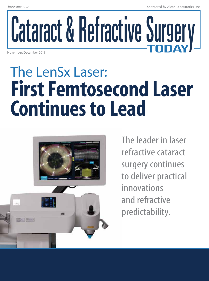# Cataract & Refractive Surgery November/December 2013

## The LenSx Laser: First Femtosecond Laser Continues to Lead



The leader in laser refractive cataract surgery continues to deliver practical innovations and refractive predictability.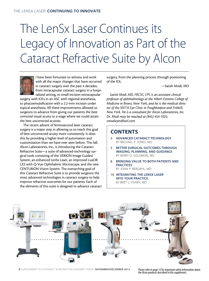## The LenSx Laser Continues its Legacy of Innovation as Part of the Cataract Refractive Suite by Alcon



I have been fortunate to witness and work with all the major changes that have occurred in cataract surgery over the past 4 decades; from intracapsular cataract surgery in a hospitalized setting, to small-incision extracapsular

surgery with IOLs in an ASC with regional anesthesia, to phacoemulsification with a 2.2-mm incision under topical anesthesia. All these improvements allowed us surgeons to advance from giving our patients the best *corrected* visual acuity to a stage where we could attain the best *uncorrected* acuities.

The recent advent of femtosecond laser cataract surgery is a major step in allowing us to reach this goal of best uncorrected acuity more consistently. It does this by providing a higher level of automation and customization than we have ever seen before. This fall, Alcon Laboratories, Inc., is introducing the Cataract Refractive Suite—a suite of advanced-technology surgical tools consisting of the VERION Image Guided System, an enhanced LenSx Laser, an improved LuxOR LX3 with Q-Vue Ophthalmic Microscope, and the new CENTURION Vision System. The overarching goal of this Cataract Refractive Suite is to provide surgeons the most advanced technologies in cataract surgery to help improve refractive outcomes for our patients. Each of the elements of this suite is designed to advance cataract surgery, from the planning process through positioning of the IOL.

—Satish Modi, MD

*Satish Modi, MD, FRCSC, CPI, is an assistant clinical professor of ophthalmology at the Albert Einstein College of Medicine in Bronx, New York, and he is the medical director of the SEETA Eye Clinic in Poughkeepsie and Fishkill, New York. He is a consultant for Alcon Laboratories, Inc. Dr. Modi may be reached at (845) 454-1025; smodieyes@aol.com.*

## **CONTENTS**

- 3 Advanced Cataract Technology By Michael P. Jones, MD
- 5 Better Surgical Outcomes Through Imaging, Planning, and guidance By Kerry D. Solomon, MD
- 8 Bringing value to both patients and **PRACTICES** by John P. Berdahl, MD
- 10 Integrating the LenSx Laser Into Your Practice By Bret L. Fisher, MD



2 SUPPLEMENT TO CATARACT & REFRACTIVE SURGERY TODAY NOVEMBER/DECEMBER 2013 Please refer to page 12 for important safety information about

the Alcon products described in this supplement.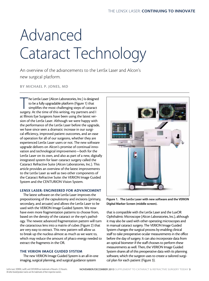## Advanced Cataract Technology

An overview of the advancements to the LenSx Laser and Alcon's new surgical platform.

#### By Michael P. Jones, MD

The LenSx Laser (Alcon Laboratories, Inc.) is designe<br>to be a fully upgradable platform (Figure 1) that<br>simplifies the most challenging steps of cataract<br>surgery. At the time of this writing, my partners and I he LenSx Laser (Alcon Laboratories, Inc.) is designed to be a fully upgradable platform (Figure 1) that simplifies the most challenging steps of cataract at Illinois Eye Surgeons have been using the latest version of the LenSx Laser. Although we were happy with the performance of the LenSx Laser before the upgrade, we have since seen a dramatic increase in our surgical efficiency, improved patient outcomes, and an ease of operation for all of our surgeons, whether they are experienced LenSx Laser users or not. The new software upgrade delivers on Alcon's promise of continual innovation and technological improvement—both for the LenSx Laser on its own, and also as part of a new, digitally integrated system for laser cataract surgery called the Cataract Refractive Suite (Alcon Laboratories, Inc.). This article provides an overview of the latest improvements to the LenSx Laser as well as two other components of the Cataract Refractive Suite: the VERION Image Guided System and the CENTURION Vision System.

#### LENSX LASER: Engineered for Advancement

The latest software on the LenSx Laser improves the prepositioning of the capsulotomy and incisions (primary, secondary, and arcuate) and allows the LenSx Laser to be used with the VERION Image Guided System. We now have even more fragmentation patterns to choose from, based on the density of the cataract or the eye's pathology. The newest advanced fragmentation pattern will turn the cataractous lens into a matrix of cubes (Figure 2) that are very easy to extract. This new pattern will allow us to break up the nucleus almost as much as we want to, which may reduce the amount of phaco energy needed to extract the fragments in the OR.

#### THE VERION IMAGE GUIDED SYSTEM

The new VERION Image Guided System is an all-in-one imaging, surgical planning, and surgical guidance system



Figure 1. The LenSx Laser with new software and the VERION Digital Marker Screen (middle screen).

that is compatible with the LenSx Laser and the LuxOR Ophthalmic Microscope (Alcon Laboratories, Inc.), although it may also be used with other operating microscopes and in manual cataract surgery. The VERION Image Guided System changes the surgical process by enabling clinical staff to take preoperative ocular measurements in the office before the day of surgery. It can also incorporate data from an optical biometer if the staff chooses to perform these measurements as well. Then, the VERION Image Guided System shares all of this preoperative data with its planning software, which the surgeon uses to create a tailored surgical plan for each patient (Figure 3).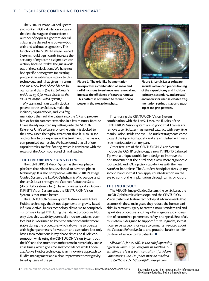The VERION Image Guided System also contains IOL calculation software that lets the surgeon choose from a number of popular algorithms for calculating the desired lens power—both with and without astigmatism. This function of the VERION Image Guided System should significantly increase the accuracy of my team's astigmatism correction, because it takes the guesswork out of these calculations. We have not had specific nomograms for treating preoperative astigmatism prior to this technology, and it has given my team and me a new level of confidence in our surgical plans. *(See Dr. Solomon's article on pg. 5 for more details on the VERION Image Guided System.)* 

My team and I can usually dock a patient to the LenSx Laser, make the incisions, capsulorhexis, and lens frag-

mentation, then roll the patient into the OR and prepare him or her for cataract extraction in a few minutes. Because I have already inputted my settings into the VERION Reference Unit's software, once the patient is docked to the LenSx Laser, the typical treatment time is 30 to 60 seconds or less. In our experience, this treatment time has not compromised our results. We have found that all of our capsulotomies are free-floating, which is consistent with the results of the Alcon-sponsored clinical studies.

#### THE CENTURION VISION SYSTEM

The CENTURION Vision System is the new phaco platform that Alcon has developed to advance phaco technology. It is also compatible with the VERION Image Guided System, the LuxOR Ophthalmic Microscope, and the LenSx Laser through the Cataract Refractive Suite (Alcon Laboratories, Inc.). I have to say, as good as Alcon's INFINITI Vision System was, the CENTURION Vision System is that much better.

The CENTURION Vision System features a new Active Fluidics technology that is not dependent on gravity-based infusion. Active Fluidics technology allows me to completely customize a target IOP during the cataract procedure. Not only does this capability potentially increase patients' comfort, but it is designed to keep the anterior chamber more stable during the procedure, which allows me to operate with higher parameters for vacuum and aspiration. Not only have I seen reductions in my phaco times and fluidic consumption while using the CENTURION Vision System, but the IOP and the anterior chamber remain remarkably stable at all times, which gives me great confidence while I operate. Active Fluidics technology is an innovative approach to fluidics management and a clear improvement over gravitybased systems of the past.



Figure 2. The grid-like fragmentation incorporates a combination of linear and radial incisions to enhance lens removal and increase the efficiency of cataract removal. This pattern is optimized to reduce phaco power in the extraction phase.



Figure 3. LenSx Laser software includes advanced prepositioning of the capsulotomy and incisions (primary, secondary, and arcuate) and allows for user-selectable fragmentation settings (size and spacing of the grid pattern).

If I am using the CENTURION Vision System in combination with the LenSx Laser, the fluidics of the CENTURION Vision System are so good that I can easily remove a LenSx Laser-fragmented cataract with very little manipulation inside the eye. The nuclear fragments come toward the tip automatically and are emulsified with very little manipulation on my part.

Other features of the CENTURION Vision System include the OZil IP technology; a new INTREPID Balanced Tip with a unique double-bend design to improve the tip's movement at the distal end; a new, more ergonomic foot pedal; and IOL injection capabilities with the new AutoSert handpiece. The AutoSert handpiece frees up my second hand so that I can apply countertraction on the eye to control the implantation through a microincision.

#### The end result

The VERION Image Guided System, the LenSx Laser, the LuxOR Ophthalmic Microscope, and the CENTURION Vision System all feature technological advancements that accomplish these main goals: they reduce the human variables in cataract surgery to create a more standardized and repeatable procedure, and they offer surgeons a combination of customized parameters, safety, and speed. Best of all, this system is designed to support future upgrades, so that it can serve surgeons for years to come. I am excited about the Cataract Refractive Suite and proud to be able to offer this level of service to my patients.  $\blacksquare$ 

*Michael P. Jones, MD, is the chief operating officer at Illinois Eye Surgeons in southeastern Illinois. He is a paid consultant for Alcon Laboratories, Inc. Dr. Jones may be reached at* 855-260-EYES; *MJones@illinoiseye.com.*

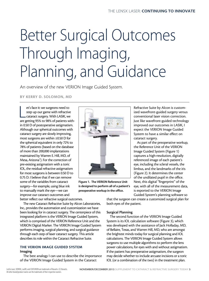## Better Surgical Outcomes Through Imaging, Planning, and Guidance

An overview of the new VERION Image Guided System.

By Kerry D. Solomon, MD

et's face it: we surgeons need to<br>step up our game with refractive<br>cataract surgery. With LASIK, we<br>are getting 95% to 98% of patients withet's face it: we surgeons need to step up our game with refractive cataract surgery. With LASIK, we in 0.50 D of postoperative astigmatism. Although our spherical outcomes with cataract surgery are slowly improving, most surgeons are within ±0.50 D for the spherical equivalent in only 72% to 78% of patients (based on the database of more than 200,000 implantations maintained by Warren E. Hill, MD, of Mesa, Arizona<sup>1</sup>). For the correction of pre-existing astigmatism with a toric IOL, the residual refractive astigmatism for most surgeons is between 0.50 D to 0.75 D. I believe that if we can remove some of the variables from cataract surgery—for example, using blue ink to manually mark the eye—we can improve our cataract outcomes and better reflect our refractive surgical outcomes.



Figure 1. The VERION Reference Unit is designed to perform all of a patient's preoperative workup in the office.

Refractive Suite by Alcon is customized wavefront-guided surgery versus conventional laser vision correction. Just like wavefront-guided technology improved our outcomes in LASIK, I expect the VERION Image Guided System to have a similar effect on cataract surgery.

As part of the preoperative workup, the Reference Unit of the VERION Image Guided System (Figure 1) captures a high-resolution, digitally referenced image of each patient's eye, including the scleral vessels, the limbus, and the landmarks of the iris (Figure 2). It determines the center of the undilated pupil in the office. Next, this digital "fingerprint" of the eye, with all of the measurement data, is exported to the VERION Image Guided System's planning software so

The new Cataract Refractive Suite by Alcon Laboratories, Inc., provides the automation and customization we have been looking for in cataract surgery. The centerpiece of this integrated platform is the VERION Image Guided System, which is comprised of the VERION Reference Unit and the VERION Digital Marker. The VERION Image Guided System performs imaging, surgical planning, and surgical guidance through each step of laser cataract surgery. This article describes its role within the Cataract Refractive Suite.

## THE VERION IMAGE GUIDED SYSTEM

#### Imaging

The best analogy I can use to describe the importance of the VERION Image Guided System in the Cataract

#### Surgical Planning

both eyes of the patient.

The second function of the VERION Image Guided System is its IOL calculation software (Figure 3), which was developed with the assistance of Jack Holladay, MD, of Bellaire, Texas, and Warren Hill, MD, who are amongst the brightest minds today for surgical planning and IOL calculations. The VERION Image Guided System allows surgeons to use multiple algorithms to perform the lens power calculations, for eyes with and without astigmatism. If the patient has preoperative astigmatism, the surgeon may decide whether to include arcuate incisions or a toric IOL (or a combination of the two) in the treatment plan.

that the surgeon can create a customized surgical plan for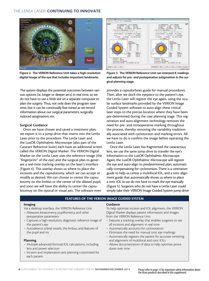## THE LENSX LASER: CONTINUING TO INNOVATE



Figure 2. The VERION Reference Unit takes a high-resolution digital image of the eye that includes important landmarks.

The system displays the potential outcomes between various options (ie, longer or deeper arcs) in real time, so we do not have to use a Web site on a separate computer to plan the surgery. Thus, not only does the program save time, but it can be continually fine-tuned as we record information about our surgical parameters, surgically induced astigmatism, etc.

#### Surgical Guidance

Once we have chosen and saved a treatment plan, we export it to a jump drive that inserts into the LenSx Laser prior to the procedure. The LenSx Laser and the LuxOR Ophthalmic Microscope (also part of the Cataract Refractive Suite) each have an additional screen called the VERION Digital Marker. The VERION Digital Marker on the LenSx Laser uses the reference image (the "fingerprint" of the eye) and the surgical plan to generate a real-time tracking overlay on the laser's interface (Figure 4). This overlay shows us where to place the incisions and the capsulotomy, which we can accept or modify as desired. We can choose to center the capsulotomy on the limbus or the center of the dilated pupil, and soon we will have the ability to center the capsulotomoy on the optical or visual axis. The software even



Figure 3. The VERION Reference Unit can interpret K readings and adjusts for pre- and postoperative astigmatism in the surgical planning stage.

provides a capsulorhexis guide for manual procedures. Then, after we dock the eyepiece to the patient's eye, the LenSx Laser will register the eye again, using the ocular surface landmarks provided by the VERION Image Guided System software to auto-align these critical laser steps to the precise location where they have been pre-determined during the case planning stage. This registration and auto-alignment technology removes the need for pre- and intraoperative marking throughout the process, thereby removing the variability traditionally associated with cyclotorsion and marking errors. All we have to do is confirm the image before operating the LenSx Laser.

Once the LenSx Laser has fragmented the cataractous lens, we use the same jump drive to transfer the eye's information to the LuxOR Ophthalmic Microscope. Again, the LuxOR Ophthalmic Microscope will register the eye and auto-align its predetermined plan, automatically compensating for cyclotorsion. There is a centration guide to help us center a multifocal IOL, and a toric alignment guide that automatically shows us where to place a toric IOL so we do not have to mark the eye manually (Figure 5). Surgeons who do not have a LenSx Laser could simply take their VERION Image Guided System jump drive

#### Features of the Verion Image Guided System

#### Imaging

- Via a desktop interface, the VERION Reference Unit
- Measures keratometry, pupillometry, and other preoperative parameters
- Captures a high-resolution, diagnostic reference image of the patient's eye
- Autodetects scleral vessels, the limbus, and features of the pupil and iris

#### Planning

- Multiple advanced-formula IOL calculations, including lens and power selection
- Incision and implantation axis planning customized for each patient

#### **Guidance**

To help optimize incision and IOL alignment, the VERION Digital Marker displays patient information and images from the VERION Reference Unit:

- Features a tracking overlay that enables surgeons to see all incisions and alignment in real time
- Automatically accounts for cyclorotation
- Eliminates the need for manual toric eye markings
- Automatically registers the patient for accurate centering and alignment of multifocal and toric IOLs
- Allows documentation of data to help optimize procedures over time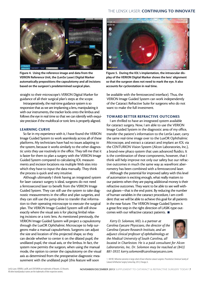## THE LENSX LASER: CONTINUING TO INNOVATE



Figure 4. Using the reference image and data from the VERION Reference Unit, the (LenSx Laser) Digital Marker automatically prepositions the capsulotomy and all incisions based on the surgeon's predetermined surgical plan.

straight to their microscope's VERION Digital Marker for guidance of all their surgical plan's steps at the scope.

Intraoperatively, the real-time guidance system is so responsive that as we are implanting a lens, manipulating it with our instruments, the tracker locks onto the limbus and follows the eye in real time so that we can identify with exquisite precision if the multifocal or toric lens is properly aligned.

#### LEARNING CURVE

So far in my experience with it, I have found the VERION Image Guided System to work seamlessly across all of these platforms. My technicians have had no issues adapting to the system, because it works similarly to the other diagnostic units they use routinely in the office. They tell me that it is faster for them to plan a surgery with the VERION Image Guided System compared to calculating IOL measurements and incision locations via multiple Web sites into which they have to input the data manually. They think the process is quick and very intuitive.

Although ultimately I think having an integrated system for laser cataract surgery is ideal, surgeons do not need a femtosecond laser to benefit from the VERION Image Guided System. They can still use the system to take diagnostic measurements in the office and plan surgeries, and they can still use the jump drive to transfer that information to their operating microscope to execute the surgical plan. The VERION Image Guided System will still show exactly where the visual axis is for placing limbal relaxing incisions or a toric lens. As mentioned previously, the VERION Image Guided System will project a capsulotomy through the LuxOR Ophthalmic Microscope to help surgeons make a manual capsulorhexis. Surgeons can adjust the size and location of this projected shape, so they can decide whether to center it on the dilated pupil, the undilated pupil, the visual axis, or the limbus. In fact, the system now permits the surgeon, when using the manual mode, the option to center the capsulotomy on the visual axis as determined from the preoperative diagnostic measurement with the undilated pupil (this feature will soon



Figure 5. During the IOL's implantation, the intraocular display of the VERION Digital Marker shows the lens' alignment so that the surgeon does not need to mark the eye. It also accounts for cyclorotation in real time.

be available with the femtosecond interface). Thus, the VERION Image Guided System can work independently of the Cataract Refractive Suite for surgeons who do not want to make the full investment.

#### TOWARD BETTER REFRACTIVE OUTCOMES

I am thrilled to have an integrated system available for cataract surgery. Now, I am able to use the VERION Image Guided System in the diagnostic area of my office, transfer the patient's information to the LenSx Laser, carry the same real-time image over to the LuxOR Ophthalmic Microscope, and extract a cataract and implant an IOL via the CENTURION Vision System (Alcon Laboratories, Inc.), a brand-new phaco system that uses advanced fluidics. It is the combination of these components, however, that I think will help improve not only our safety but our refractive outcomes in much the same way as wavefront aberrometry has been combined with a femtosecond laser.

Although the potential for improved safety with this level of automation is exciting enough, what really matters to our patients when they are paying additional money is their refractive outcomes. They want to be able to see well without glasses—that is the end point. By reducing the number of human variables in the cataract procedure, I am confident that we will be able to achieve this goal for all patients in the near future. The VERION Image Guided System is a great first step in the right direction of LASIK-type outcomes with our refractive cataract patients.  $\blacksquare$ 

*Kerry D. Solomon, MD, is a partner at Carolina Eyecare Physicians, the director of the Carolina Eyecare Research Institute, and an adjunct clinical professor of ophthalmology at the Medical University of South Carolina, all located in Charleston. He is a paid consultant for Alcon* 

*Laboratories, Inc. Dr. Solomon may be reached at (843) 881-3937; kerry.solomon@carolinaeyecare.com.*



1. Hill WE. Refractive outcomes in large cohort of laser refractive cataract surgeries. Presented at: American Society of Cataract & Refractive Surgery Cornea Day; 2012; Chicago, IL.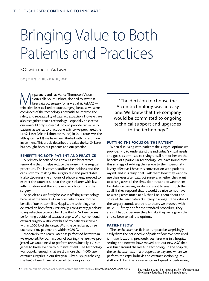## Bringing Value to Both Patients and Practices

ROI with the LenSx Laser.

By John P. Berdahl, MD

V partners and I at Vance Thompson Vision in<br>Sioux Falls, South Dakota, decided to invest in<br>laser cataract surgery (or as we call it, ReLACS–<br>refractive laser-assisted cataract surgery) because we we Sioux Falls, South Dakota, decided to invest in laser cataract surgery (or as we call it, ReLACSrefractive laser-assisted cataract surgery) because we were convinced of the technology's potential to improve the safety and repeatability of cataract extraction. However, we also recognized that a technology—especially an elective one—would only succeed if it could provide fair value to patients as well as to practitioners. Since we purchased the LenSx Laser (Alcon Laboratories, Inc.) in 2011 (ours was the fifth system sold), we have been thrilled with its return on investment. This article describes the value the LenSx Laser has brought both our patients and our practice.

#### BENEFITTING BOTH PATIENT AND PRACTICE

A primary benefit of the LenSx Laser for cataract removal is that it helps reduce the noise in the surgical procedure. The laser standardizes the incisions and the capsulotomy, making the surgery fast and predictable. It also decreases the amount of phaco energy needed to extract the cataract so that the eye is clearer with less inflammation and therefore recovers faster from the surgery.

As physicians, we firmly believe in offering a technology because of the benefits it can offer patients, not for the benefit of our bottom line. Happily, the technology has delivered on both fronts. Personally, I consistently get closer to my refractive targets when I use the LenSx Laser versus performing traditional cataract surgery. With conventional cataract surgery, a little over half of my patients achieved within ±0.50 D of the target. With the LenSx Laser, three quarters of my patients are within ±0.50 D.

Monetarily, the LenSx Laser has performed better than we expected. For our first year of owning the laser, we projected we would need to perform approximately 330 surgeries to break even with our investment. The technology was popular enough that we did more than 1,000 laser cataract surgeries in our first year. Obviously, purchasing the LenSx Laser financially benefitted our practice.

"The decision to choose the Alcon technology was an easy one. We knew that the company would be committed to ongoing technical support and upgrades to the technology."

### PUTTING THE FOCUS ON THE PATIENT

When discussing with patients the surgical options we provide, I try to understand the individual's visual needs and goals, as opposed to trying to sell him or her on the benefits of a particular technology. We have found that this strategy of relating the service to them personally is very effective. I have this conversation with patients myself, and it is fairly brief. I ask them how they want to use their eyes after cataract surgery; whether they want to wear glasses all the time, do not want to wear them for distance viewing, or do not want to wear much them at all. If they respond that it would be nice to not have to wear glasses much at all, then I tell them about the costs of the laser cataract surgery package. If the value of the surgery sounds worth it to them, we proceed with ReLACS. If they opt for the standard procedure, they are still happy, because they felt like they were given the choice between all the options.

### PATIENT FLOW

The LenSx Laser has fit into our practice surprisingly easily from the perspective of patient flow. We have used it in two locations: previously, our laser was in a hospital setting, and now we have moved it to our new ASC that was built around the ReLACS technology. In the hospital, the LenSx Laser was in a preoperative bay area where we perform the capsulorhexis and cataract sectioning. My staff and I liked the convenience and speed of performing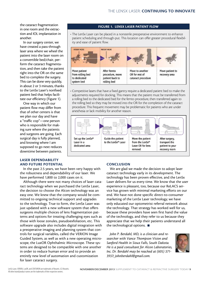the cataract fragmentation in one room and the extraction and IOL implantation in another.

In our surgery center, we have created a pass-through laser area where we wheel the patient into the laser room on a convertible bed/chair, perform the cataract fragmentation, and then take the patient right into the OR on the same bed to complete the surgery. This can be done very quickly, in about 2 or 3 minutes, thanks to the LenSx Laser's nonfixed patient bed that helps facilitate our efficiency (Figure 1).

One way in which our patient flow may differ from that of other centers is that we plan our day and have a "traffic cop"—one person who is responsible for making sure where the patients and surgeons are going. Each surgical day is fully planned, and knowing where I am supposed to go next reduces downtime between patients.

#### LASER DEPENDABILITY AND FUTURE POTENTIAL

In the past 2.5 years, we have been very happy with the robustness and dependability of our laser. We have performed 1,800 to 2,000 cases on it.

Although there were not many choices of laser cataract technology when we purchased the LenSx Laser, the decision to choose the Alcon technology was an easy one. We knew that the company would be committed to ongoing technical support and upgrades to the technology. True to form, the LenSx Laser was just updated with a new software system that offers surgeons multiple choices of lens fragmentation patterns and options for treating challenging eyes such as those with loose zonules, pseudoexfoliation, etc. This software upgrade also includes digital integration with a preoperative imaging and planning system that controls for surgical variables, called the VERION Image Guided System, as well as with a new operating microscope, the LuxOR Ophthalmic Microscope. These systems are designed to be compatible with one another in order to reduce human error and to provide an entirely new level of automation and customization for laser cataract surgery.

#### Figure 1. LenSx Laser Patient Flow

• The LenSx Laser can be placed in a nonsterile preoperative environment to enhance patient scheduling and through-put. This location can offer greater procedural flexibility and ease of patient flow.



• Competitive lasers that have a fixed gantry require a dedicated patient bed to make the adjustments required for docking. This means that the patient must be transferred from a rolling bed to the dedicated bed for the femto procedure, then transferred again to the rolling bed so they may be moved into the OR for the completion of the cataract procedure. This frequent movement may be problematic for patients who are under anesthesia or lack mobility for another reason.



### **CONCLUSION**

We are glad we made the decision to adopt laser cataract technology early in its development. The technology has been proven effective, and the LenSx Laser delivers for us every time. We know that the user experience is pleasant, too, because our ReLACS service has grown with minimal marketing efforts on our end. We have not done specific direct-to-consumer marketing of the LenSx Laser technology; we have only educated our optometrist referral network about the technology. That strategy has worked well for us, because these providers have seen first hand the value of the technology, and they refer to us because they appreciate that we help their patients understand all the technological options.  $\blacksquare$ 

*John P. Berdahl, MD, is a clinician and re searcher with Vance Thompson Vision and Sanford Health in Sioux Falls, South Dakota. He is a paid consultant for Alcon Laboratories, Inc. Dr. Berdahl may be reached at (605) 371- 3937; johnberdahl@gmail.com.* 

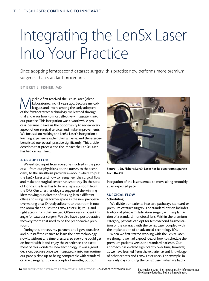## Integrating the LenSx Laser Into Your Practice

Since adopting femtosecond cataract surgery, this practice now performs more premium surgeries than standard procedures.

By Bret L. Fisher, MD

Velinic first received the LenSx Laser (Alcon<br>Laboratories, Inc.) 2 years ago. Because my contract leagues and I were among the early adopter:<br>of the femtocataract technology we learned through Laboratories, Inc.) 2 years ago. Because my colleagues and I were among the early adopters of the femtocataract technology, we learned through trial and error how to most effectively integrate it into our practice. This integration was a worthwhile process, because it gave us the opportunity to review every aspect of our surgical services and make improvements. We focused on making the LenSx Laser's integration a learning experience rather than a hassle, and the exercise benefitted our overall practice significantly. This article describes that process and the impact the LenSx Laser has had on our clinic.

#### A GROUP EFFORT

We enlisted input from everyone involved in the process—from our physicians, to the nurses, to the technicians, to the anesthesia providers—about where to put the LenSx Laser and how to reengineer the surgical flow and make the surgical center run smoothly (in the state of Florida, the laser has to be in a separate room from the OR). Our anesthesiologists suggested the winning idea: moving our director of nursing into a different office and using her former space as the new preoperative waiting area. Directly adjacent to that room is now the room that houses the LenSx Laser (Figure 1), and right across from that are two ORs—a very efficient triangle for cataract surgery. We also have a postoperative recovery room that used to be the preoperative prep room.

During this process, my partners and I gave ourselves and our staff the chance to learn the new technology slowly, without any time pressure, so everyone could get on board with it and enjoy the experience, the excitement of this wonderful new technology. It was a good decision, because once we integrated it into our routine, our pace picked up to being comparable with standard cataract surgery. It took a couple of months, but our



Figure 1. Dr. Fisher's LenSx Laser has its own room separate from the OR.

integration of the laser seemed to move along smoothly at an expected pace.

### SURGICAL FLOW

#### **Scheduling**

We divide our patients into two pathways: standard or premium cataract surgery. The standard option includes traditional phacoemulsification surgery with implantation of a standard monofocal lens. Within the premium category, patients can opt for femtosecond fragmentation of the cataract with the LenSx Laser coupled with the implantation of an advanced-technology IOL.

When we first started working with the LenSx Laser, we thought we had a good idea of how to schedule the premium patients versus the standard patients. Our approach has evolved significantly over time, however, as we have learned from the experience and knowledge of other centers and LenSx Laser users. For example, in our early days of using the LenSx Laser, when we had a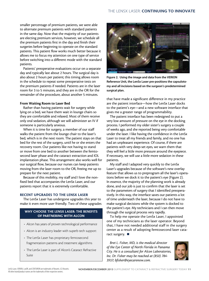smaller percentage of premium patients, we were able to alternate premium patients with standard patients in the same day. Now that the majority of our patients are electing premium services, however, we schedule all the premium patients first in the day and finish their surgeries before beginning to operate on the standard patients. This patient flow works much better because it allows me to focus my attention on one type of service before switching into a different mode with the standard patients.

Patients' preoperative evaluations occur on a separate day and typically last about 2 hours. The surgical day is also about 2 hours per patient; this timing allows room in the schedule to repeat some preoperative tests on the premium patients if needed. Patients are in the laser room for 3 to 5 minutes, and they are in the OR for the remainder of the procedure, about another 5 minutes.

#### From Waiting Room to Laser Bed

Rather than having patients wait for surgery while lying on a bed, we have them wait in lounge chairs so they are comfortable and relaxed. Most of them receive only oral sedation, although we will administer an IV if someone is particularly anxious.

When it is time for surgery, a member of our staff walks the patient from the lounge chair to the laser's bed, which is in the next room. The patient stays on that bed for the rest of the surgery, until he or she enters the recovery room. Our patients like not having to stand or move from one bed to another between the femtosecond laser phase and the cataract extraction and IOL implantation phase. This arrangement also works well for our surgical flow, because our nurses can keep patients moving from the laser room to the OR, freeing me up to prepare for the next patient.

Because of this mobility, my staff and I love the nonfixed bed that accompanies the LenSx Laser, and our patients report that it is extremely comfortable.

### RECENT UPGRADES TO THE LENSX LASER

The LenSx Laser has undergone upgrades this year to make it even more user friendly. Two of these upgrades

### WHY CHOOSE THE LENSX LASER: THE BENEFITS of Partnering With Alcon

- Alcon has years of proven technological performance
- Alcon is an industry leader with superb tech support
- The LenSx Laser has proprietary femtosecond fragmentation patterns and treatment algorithms
- The LenSx Laser is part of Alcon's Cataract Refractive Suite



Figure 2. Using the image and data from the VERION Reference Unit, the LenSx Laser pre-positions the capsulotomy and all incisions based on the surgeon's predetermined surgical plan.

that have made a significant difference in my practice are the patient interface—how the LenSx Laser docks to the patient's eye—and a new software interface that gives me a greater range of programmability.

The patient interface has been redesigned to put a very low amount of pressure on the eye in the docking process. I performed my older sister's surgery a couple of weeks ago, and she reported being very comfortable under the laser. I like having the confidence in the LenSx Laser to treat all my friends and family, and no one has had an unpleasant experience. Of course, if there are patients with very deep-set eyes, we warn them that they will feel a little more pressure around the eyepiece. If necessary, we will use a little more sedation in these patients.

My staff and I adapted very quickly to the LenSx Laser's upgrades because of the software's new overlay feature that allows us to preprogram all the laser's operations before we dock it to the patient's eye (Figure 2). In essence, the majority of the planning work is already done, and our job is just to confirm that the laser is set to the parameters of surgery that I identified preoperatively. In this way, the interface saves our patients a lot of time underneath the laser, because I do not have to make surgical decisions while the system is docked to the patient's eye. My technicians and I can then move through the surgical process very rapidly.

To help me operate the LenSx Laser, I appointed one of my technicians as the laser operator. Beyond that, I have not needed additional staff in the surgery center as a result of adopting femtosecond laser cataract surgery.  $\blacksquare$ 

*Bret L. Fisher, MD, is the medical director of the Eye Center of North Florida in Panama City. He is a consultant for Alcon Laboratories, Inc. Dr. Fisher may be reached at (850) 784- 3937; bfisher@eyecarenow.com.*